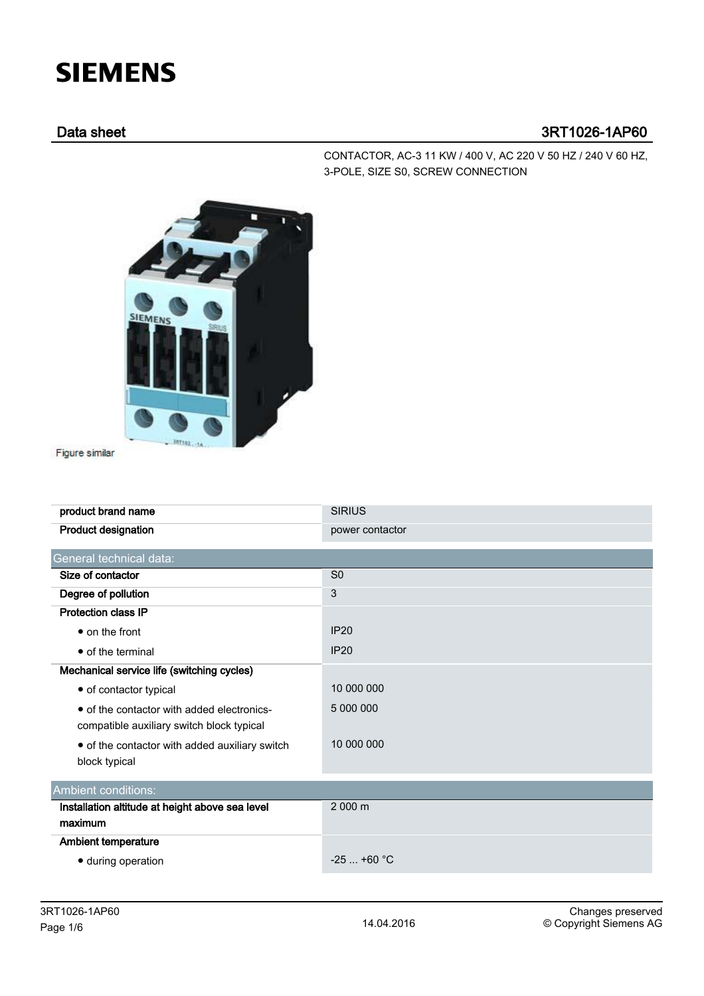## **SIEMENS**

## Data sheet 3RT1026-1AP60

CONTACTOR, AC-3 11 KW / 400 V, AC 220 V 50 HZ / 240 V 60 HZ, 3-POLE, SIZE S0, SCREW CONNECTION



Figure similar

| product brand name                              | <b>SIRIUS</b>   |  |  |  |
|-------------------------------------------------|-----------------|--|--|--|
| <b>Product designation</b>                      | power contactor |  |  |  |
| General technical data:                         |                 |  |  |  |
| Size of contactor                               | S <sub>0</sub>  |  |  |  |
| Degree of pollution                             | 3               |  |  |  |
| <b>Protection class IP</b>                      |                 |  |  |  |
| • on the front                                  | <b>IP20</b>     |  |  |  |
| • of the terminal                               | <b>IP20</b>     |  |  |  |
| Mechanical service life (switching cycles)      |                 |  |  |  |
| • of contactor typical                          | 10 000 000      |  |  |  |
| • of the contactor with added electronics-      | 5 000 000       |  |  |  |
| compatible auxiliary switch block typical       |                 |  |  |  |
| • of the contactor with added auxiliary switch  | 10 000 000      |  |  |  |
| block typical                                   |                 |  |  |  |
| Ambient conditions:                             |                 |  |  |  |
| Installation altitude at height above sea level | 2 000 m         |  |  |  |
| maximum                                         |                 |  |  |  |
| <b>Ambient temperature</b>                      |                 |  |  |  |
| · during operation                              | $-25$ +60 °C    |  |  |  |
|                                                 |                 |  |  |  |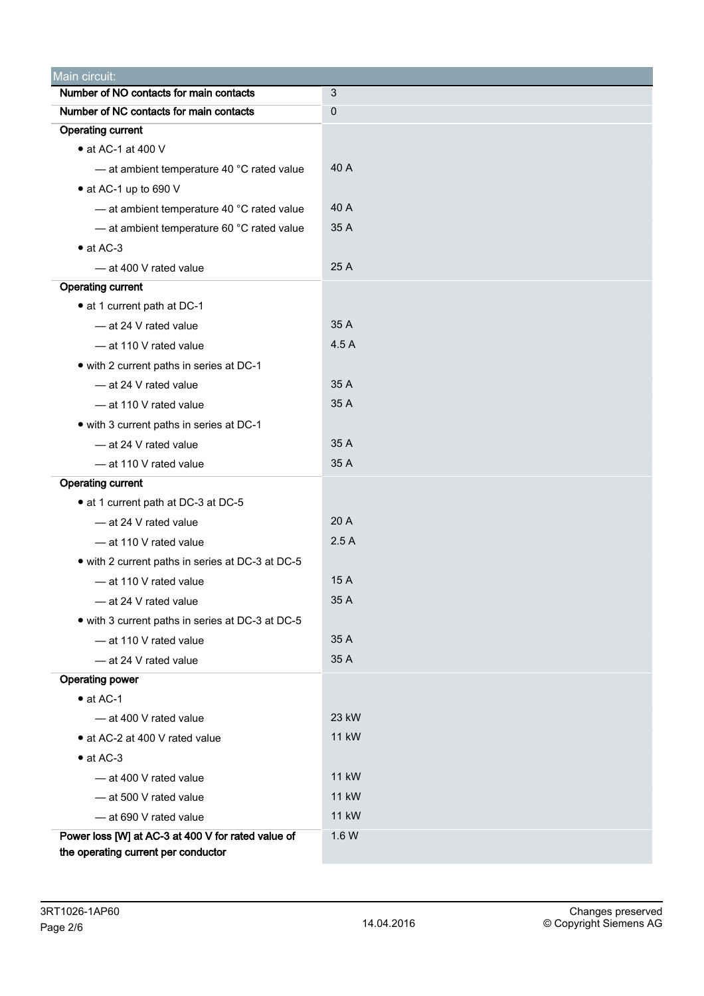| Main circuit:                                      |              |  |  |  |  |
|----------------------------------------------------|--------------|--|--|--|--|
| Number of NO contacts for main contacts            | 3            |  |  |  |  |
| Number of NC contacts for main contacts            | $\mathbf 0$  |  |  |  |  |
| <b>Operating current</b>                           |              |  |  |  |  |
| • at AC-1 at 400 V                                 |              |  |  |  |  |
| - at ambient temperature 40 °C rated value         | 40 A         |  |  |  |  |
| • at AC-1 up to 690 V                              |              |  |  |  |  |
| - at ambient temperature 40 °C rated value         | 40 A         |  |  |  |  |
| - at ambient temperature 60 °C rated value         | 35 A         |  |  |  |  |
| $\bullet$ at AC-3                                  |              |  |  |  |  |
| - at 400 V rated value                             | 25 A         |  |  |  |  |
| <b>Operating current</b>                           |              |  |  |  |  |
| • at 1 current path at DC-1                        |              |  |  |  |  |
| - at 24 V rated value                              | 35 A         |  |  |  |  |
| - at 110 V rated value                             | 4.5A         |  |  |  |  |
| • with 2 current paths in series at DC-1           |              |  |  |  |  |
| - at 24 V rated value                              | 35 A         |  |  |  |  |
| - at 110 V rated value                             | 35 A         |  |  |  |  |
| • with 3 current paths in series at DC-1           |              |  |  |  |  |
| - at 24 V rated value                              | 35 A         |  |  |  |  |
| - at 110 V rated value                             | 35 A         |  |  |  |  |
| <b>Operating current</b>                           |              |  |  |  |  |
| • at 1 current path at DC-3 at DC-5                |              |  |  |  |  |
| - at 24 V rated value                              | 20 A         |  |  |  |  |
| - at 110 V rated value                             | 2.5A         |  |  |  |  |
| • with 2 current paths in series at DC-3 at DC-5   |              |  |  |  |  |
| - at 110 V rated value                             | 15 A         |  |  |  |  |
| - at 24 V rated value                              | 35 A         |  |  |  |  |
| • with 3 current paths in series at DC-3 at DC-5   |              |  |  |  |  |
| - at 110 V rated value                             | 35 A         |  |  |  |  |
| - at 24 V rated value                              | 35 A         |  |  |  |  |
| <b>Operating power</b>                             |              |  |  |  |  |
| $\bullet$ at AC-1                                  |              |  |  |  |  |
| - at 400 V rated value                             | 23 kW        |  |  |  |  |
| • at AC-2 at 400 V rated value                     | <b>11 kW</b> |  |  |  |  |
| $\bullet$ at AC-3                                  |              |  |  |  |  |
| - at 400 V rated value                             | 11 kW        |  |  |  |  |
| -at 500 V rated value                              | <b>11 kW</b> |  |  |  |  |
| - at 690 V rated value                             | <b>11 kW</b> |  |  |  |  |
| Power loss [W] at AC-3 at 400 V for rated value of | 1.6 W        |  |  |  |  |
| the operating current per conductor                |              |  |  |  |  |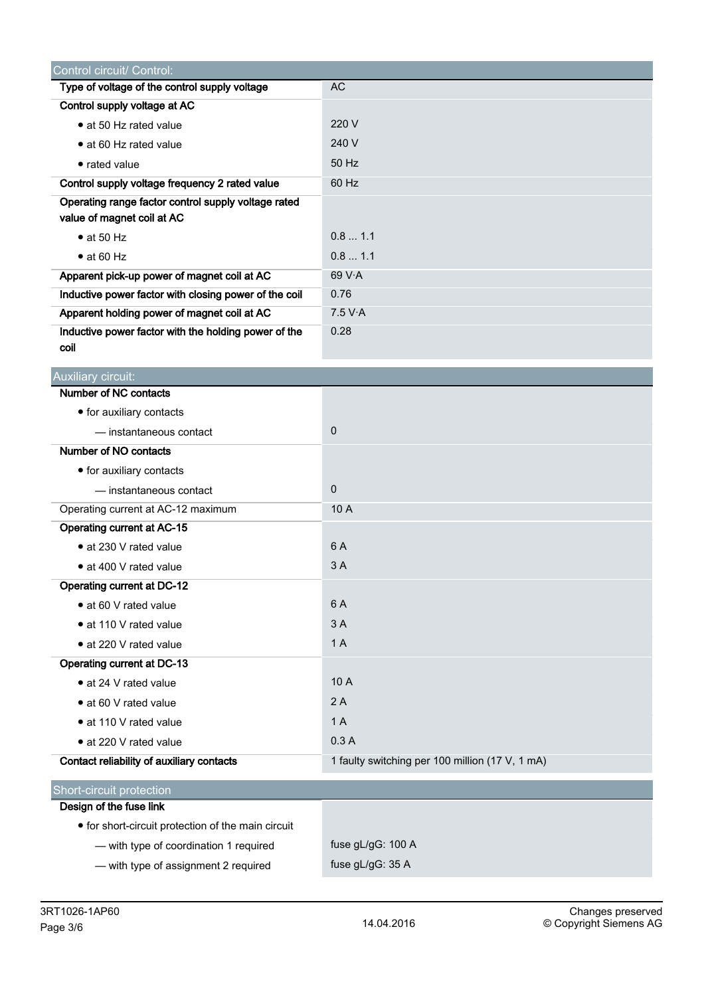| Control circuit/ Control:                                                         |                                                 |
|-----------------------------------------------------------------------------------|-------------------------------------------------|
| Type of voltage of the control supply voltage                                     | <b>AC</b>                                       |
| Control supply voltage at AC                                                      |                                                 |
| • at 50 Hz rated value                                                            | 220 V                                           |
| • at 60 Hz rated value                                                            | 240 V                                           |
| • rated value                                                                     | 50 Hz                                           |
| Control supply voltage frequency 2 rated value                                    | 60 Hz                                           |
| Operating range factor control supply voltage rated<br>value of magnet coil at AC |                                                 |
| $\bullet$ at 50 Hz                                                                | 0.81.1                                          |
| $\bullet$ at 60 Hz                                                                | 0.8 1.1                                         |
| Apparent pick-up power of magnet coil at AC                                       | 69 V·A                                          |
| Inductive power factor with closing power of the coil                             | 0.76                                            |
| Apparent holding power of magnet coil at AC                                       | 7.5 V·A                                         |
| Inductive power factor with the holding power of the                              | 0.28                                            |
| coil                                                                              |                                                 |
| Auxiliary circuit:                                                                |                                                 |
| Number of NC contacts                                                             |                                                 |
| • for auxiliary contacts                                                          |                                                 |
| — instantaneous contact                                                           | $\pmb{0}$                                       |
| Number of NO contacts                                                             |                                                 |
| • for auxiliary contacts                                                          |                                                 |
| — instantaneous contact                                                           | $\mathbf 0$                                     |
| Operating current at AC-12 maximum                                                | 10 A                                            |
| Operating current at AC-15                                                        |                                                 |
| • at 230 V rated value                                                            | 6 A                                             |
| • at 400 V rated value                                                            | 3A                                              |
| <b>Operating current at DC-12</b>                                                 |                                                 |
| • at 60 V rated value                                                             | 6 A                                             |
| • at 110 V rated value                                                            | 3A                                              |
| • at 220 V rated value                                                            | 1A                                              |
| Operating current at DC-13                                                        |                                                 |
| • at 24 V rated value                                                             | 10 A                                            |
| • at 60 V rated value                                                             | 2A                                              |
| • at 110 V rated value                                                            | 1A                                              |
| • at 220 V rated value                                                            | 0.3A                                            |
| Contact reliability of auxiliary contacts                                         | 1 faulty switching per 100 million (17 V, 1 mA) |
| Short-circuit protection                                                          |                                                 |
| Design of the fuse link                                                           |                                                 |
| • for short-circuit protection of the main circuit                                |                                                 |
| - with type of coordination 1 required                                            | fuse gL/gG: 100 A                               |
| - with type of assignment 2 required                                              | fuse gL/gG: 35 A                                |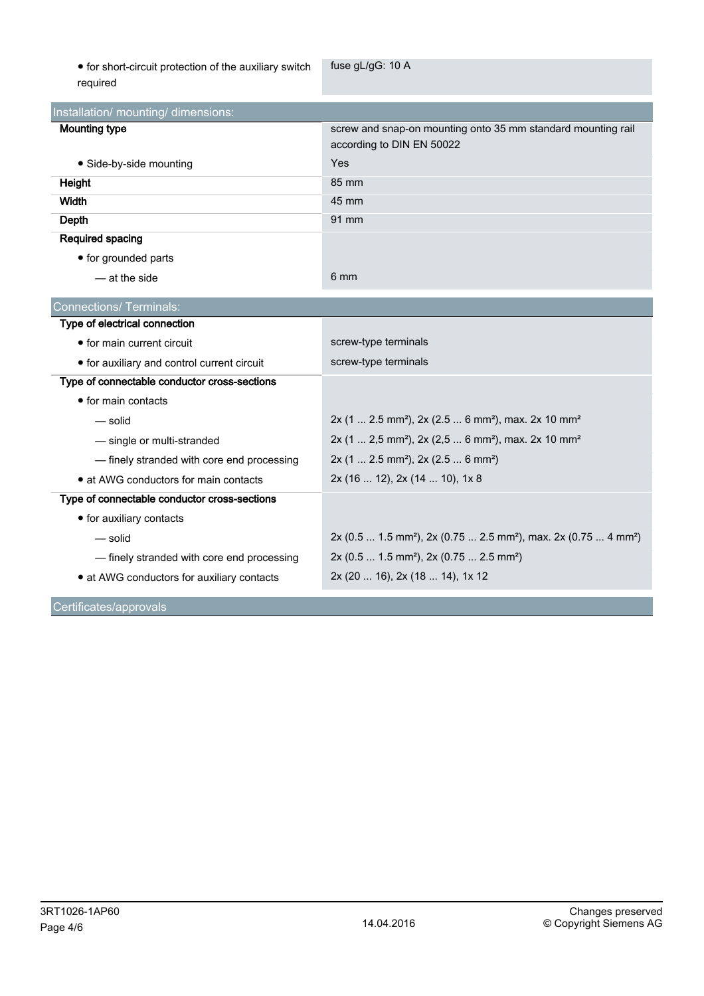$\bullet$  for short-circuit protection of the auxiliary switch required

fuse gL/gG: 10 A

| Installation/ mounting/ dimensions:          |                                                                                                     |  |  |  |
|----------------------------------------------|-----------------------------------------------------------------------------------------------------|--|--|--|
| <b>Mounting type</b>                         | screw and snap-on mounting onto 35 mm standard mounting rail<br>according to DIN EN 50022           |  |  |  |
| • Side-by-side mounting                      | Yes                                                                                                 |  |  |  |
| Height                                       | 85 mm                                                                                               |  |  |  |
| Width                                        | 45 mm                                                                                               |  |  |  |
| Depth                                        | 91 mm                                                                                               |  |  |  |
| <b>Required spacing</b>                      |                                                                                                     |  |  |  |
| • for grounded parts                         |                                                                                                     |  |  |  |
| — at the side                                | 6 mm                                                                                                |  |  |  |
| <b>Connections/ Terminals:</b>               |                                                                                                     |  |  |  |
| Type of electrical connection                |                                                                                                     |  |  |  |
| • for main current circuit                   | screw-type terminals                                                                                |  |  |  |
| • for auxiliary and control current circuit  | screw-type terminals                                                                                |  |  |  |
| Type of connectable conductor cross-sections |                                                                                                     |  |  |  |
| • for main contacts                          |                                                                                                     |  |  |  |
| — solid                                      | 2x (1  2.5 mm <sup>2</sup> ), 2x (2.5  6 mm <sup>2</sup> ), max. 2x 10 mm <sup>2</sup>              |  |  |  |
| - single or multi-stranded                   | 2x (1  2,5 mm <sup>2</sup> ), 2x (2,5  6 mm <sup>2</sup> ), max. 2x 10 mm <sup>2</sup>              |  |  |  |
| - finely stranded with core end processing   | $2x$ (1  2.5 mm <sup>2</sup> ), $2x$ (2.5  6 mm <sup>2</sup> )                                      |  |  |  |
| • at AWG conductors for main contacts        | 2x (16  12), 2x (14  10), 1x 8                                                                      |  |  |  |
| Type of connectable conductor cross-sections |                                                                                                     |  |  |  |
| • for auxiliary contacts                     |                                                                                                     |  |  |  |
| — solid                                      | 2x (0.5  1.5 mm <sup>2</sup> ), 2x (0.75  2.5 mm <sup>2</sup> ), max. 2x (0.75  4 mm <sup>2</sup> ) |  |  |  |
| - finely stranded with core end processing   | 2x (0.5  1.5 mm <sup>2</sup> ), 2x (0.75  2.5 mm <sup>2</sup> )                                     |  |  |  |
| • at AWG conductors for auxiliary contacts   | 2x (20  16), 2x (18  14), 1x 12                                                                     |  |  |  |
| Certificates/approvals                       |                                                                                                     |  |  |  |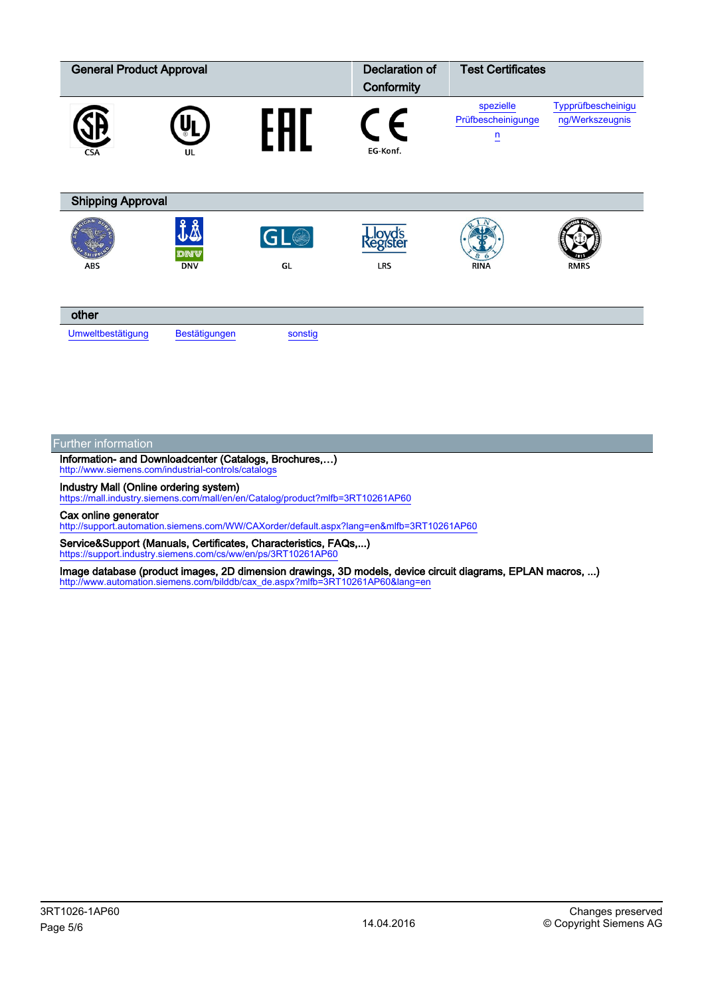| <b>General Product Approval</b> |                         | <b>Declaration of</b><br>Conformity | <b>Test Certificates</b>          |                                                 |                                       |  |  |
|---------------------------------|-------------------------|-------------------------------------|-----------------------------------|-------------------------------------------------|---------------------------------------|--|--|
| <b>CSA</b>                      | UL                      |                                     | EG-Konf.                          | spezielle<br>Prüfbescheinigunge<br>$\mathsf{n}$ | Typprüfbescheinigu<br>ng/Werkszeugnis |  |  |
| <b>Shipping Approval</b>        |                         |                                     |                                   |                                                 |                                       |  |  |
| ABS                             | ĴÅ<br>dnv<br><b>DNV</b> | [GL@]<br>GL                         | Lloyd's<br>{egister<br><b>LRS</b> | <b>RINA</b>                                     | <b>RMRS</b>                           |  |  |
| other                           |                         |                                     |                                   |                                                 |                                       |  |  |
| Umweltbestätigung               | Bestätigungen           | sonstig                             |                                   |                                                 |                                       |  |  |

## Further information

Information- and Downloadcenter (Catalogs, Brochures,…) <http://www.siemens.com/industrial-controls/catalogs>

Industry Mall (Online ordering system)

<https://mall.industry.siemens.com/mall/en/en/Catalog/product?mlfb=3RT10261AP60>

Cax online generator

<http://support.automation.siemens.com/WW/CAXorder/default.aspx?lang=en&mlfb=3RT10261AP60>

Service&Support (Manuals, Certificates, Characteristics, FAQs,...) <https://support.industry.siemens.com/cs/ww/en/ps/3RT10261AP60>

Image database (product images, 2D dimension drawings, 3D models, device circuit diagrams, EPLAN macros, ...) [http://www.automation.siemens.com/bilddb/cax\\_de.aspx?mlfb=3RT10261AP60&lang=en](http://www.automation.siemens.com/bilddb/cax_de.aspx?mlfb=3RT10261AP60&lang=en)